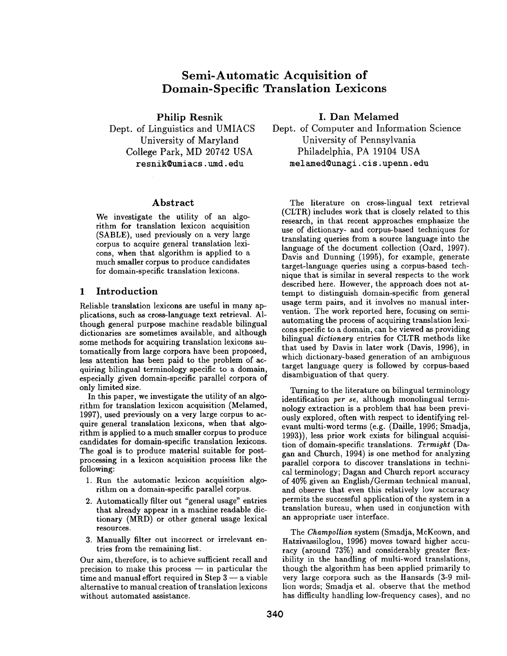# **Semi-Automatic Acquisition of Domain-Specific Translation Lexicons**

Philip Resnik Dept. of Linguistics and UMIACS University of Maryland College Park, MD 20742 USA resnik~umiacs, umd. **edu** 

#### Abstract

We investigate the utility of an algorithm for translation lexicon acquisition (SABLE), used previously on a very large corpus to acquire general translation lexicons, when that algorithm is applied to a much smaller corpus to produce candidates for domain-specific translation lexicons.

# 1 Introduction

Reliable translation lexicons are useful in many applications, such as cross-language text retrieval. Although general purpose machine readable bilingual dictionaries are sometimes available, and although some methods for acquiring translation lexicons automatically from large corpora have been proposed, less attention has been paid to the problem of acquiring bilingual terminology specific to a domain, especially given domain-specific parallel corpora of only limited size.

In this paper, we investigate the utility of an algorithm for translation lexicon acquisition (Melamed, 1997), used previously on a very large corpus to acquire general translation lexicons, when that algorithm is applied to a much smaller corpus to produce candidates for domain-specific translation lexicons. The goal is to produce material suitable for postprocessing in a lexicon acquisition process like the following:

- 1. Run the automatic lexicon acquisition algorithm on a domain-specific parallel corpus.
- 2. Automatically filter out "general usage" entries that already appear in a machine readable dictionary (MRD) or other general usage lexical resources.
- 3. Manually filter out incorrect or irrelevant entries from the remaining list.

Our aim, therefore, is to achieve sufficient recall and  $precision$  to make this process  $-$  in particular the  $time$  and manual effort required in Step  $3 - a$  viable alternative to manual creation of translation lexicons without automated assistance.

I. Dan Melamed

Dept. of Computer and Information Science University of Pennsylvania Philadelphia, PA 19104 USA melamed©unagi, cis. upenn, **edu** 

The literature on cross-lingual text retrieval (CLTR) includes work that is closely related to this research, in that recent approaches emphasize the use of dictionary- and corpus-based techniques for translating queries from a source language into the language of the document collection (Oard, 1997). Davis and Dunning (1995), for example, generate target-language queries using a corpus-based technique that is similar in several respects to the work described here. However, the approach does not attempt to distinguish domain-specific from general usage term pairs, and it involves no manual intervention. The work reported here, focusing on semiautomating the process of acquiring translation lexicons specific to a domain, can be viewed as providing bilingual *dictionary* entries for CLTR methods like that used by Davis in later work (Davis, 1996), in which dictionary-based generation of an ambiguous target language query is followed by corpus-based disambiguation of that query.

Turning to the literature on bilingual terminology identification *per se,* although monolingual terminology extraction is a problem that has been previously explored, often with respect to identifying relevant multi-word terms (e.g. (Daille, 1996; Smadja, 1993)), less prior work exists for bilingual acquisition of domain-specific translations. *Termight* (Dagan and Church, 1994) is one method for analyzing parallel corpora to discover translations in technical terminology; Dagan and Church report accuracy of 40% given an English/German technical manual, and observe that even this relatively low accuracy permits the successful application of the system in a translation bureau, when used in conjunction with an appropriate user interface.

The *Champollion* system (Smadja, McKeown, and Hatzivassiloglou, 1996) moves toward higher accuracy (around 73%) and considerably greater flexibility in the handling of multi-word translations, though the algorithm has been applied primarily to very large corpora such as the Hansards (3-9 million words; Smadja et al. observe that the method has difficulty handling low-frequency cases), and no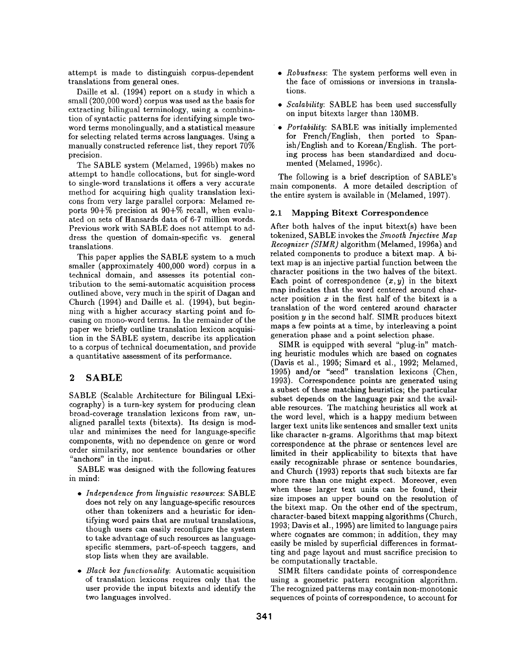attempt is made to distinguish corpus-dependent translations from general ones.

Daille et al. (1994) report on a study in which a small (200,000 word) corpus was used as the basis for extracting bilingual terminology, using a combination of syntactic patterns for identifying simple twoword terms monolingually, and a statistical measure for selecting related terms across languages. Using a manually constructed reference list, they report 70% precision.

The SABLE system (Melamed, 1996b) makes no attempt to handle collocations, but for single-word to single-word translations it offers a very accurate method for acquiring high quality translation lexicons from very large parallel corpora: Melamed reports 90+% precision at 90+% recall, when evaluated on sets of Hansards data of 6-7 million words. Previous work with SABLE does not attempt to address the question of domain-specific vs. general translations.

This paper applies the SABLE system to a much smaller (approximately 400,000 word) corpus in a technical domain, and assesses its potential contribution to the semi-automatic acquisition process outlined above, very much in the spirit of Dagan and Church (1994) and Daille et al. (1994), but beginning with a higher accuracy starting point and focusing on mono-word terms. In the remainder of the paper we briefly outline translation lexicon acquisition in the SABLE system, describe its application to a corpus of technical documentation, and provide a quantitative assessment of its performance.

# **2 SABLE**

SABLE (Scalable Architecture for Bilingual LExicography) is a turn-key system for producing clean broad-coverage translation lexicons from raw, unaligned parallel texts (bitexts). Its design is modular and minimizes the need for language-specific components, with no dependence on genre or word order similarity, nor sentence boundaries or other "anchors" in the input.

SABLE was designed with the following features in mind:

- *Independence from linguistic resources:* SABLE does not rely on any language-specific resources other than tokenizers and a heuristic for identifying word pairs that are mutual translations, though users can easily reconfigure the system to take advantage of such resources as languagespecific stemmers, part-of-speech taggers, and stop lists when they are available.
- *Black box functionality:* Automatic acquisition of translation lexicons requires only that the user provide the input bitexts and identify the two languages involved.
- *Robustness:* The system performs well even in the face of omissions or inversions in translations.
- *\* Scalability:* SABLE has been used successfully on input bitexts larger than 130MB.
- *\* Portability:* SABLE was initially implemented for French/English, then ported to Spanish/English and to Korean/English. The porting process has been standardized and documented (Melamed, 1996c).

The following is a brief description of SABLE's main components. A more detailed description of the entire system is available in (Melamed, 1997).

#### **2.1 Mapping Bitext Correspondence**

After both halves of the input bitext(s) have been tokenized, SABLE invokes the *Smooth Injective Map Recognizer (SIMR)* algorithm (Melamed, 1996a) and related components to produce a bitext map. A bitext map is an injective partial function between the character positions in the two halves of the bitext. Each point of correspondence  $(x, y)$  in the bitext map indicates that the word centered around character position  $x$  in the first half of the bitext is a translation of the word centered around character position  $y$  in the second half. SIMR produces bitext maps a few points at a time, by interleaving a point generation phase and a point selection phase.

SIMR is equipped with several "plug-in" matching heuristic modules which are based on cognates (Davis et al., 1995; Simard et al., 1992; Melamed, 1995) and/or "seed" translation lexicons (Chen, 1993). Correspondence points are generated using a subset of these matching heuristics; the particular subset depends on the language pair and the available resources. The matching heuristics all work at the word level, which is a happy medium between larger text units like sentences and smaller text units like character n-grams. Algorithms that map bitext correspondence at the phrase or sentences level are limited in their applicability to bitexts that have easily recognizable phrase or sentence boundaries, and Church (1993) reports that such bitexts are far more rare than one might expect. Moreover, even when these larger text units can be found, their size imposes an upper bound on the resolution of the bitext map. On the other end of the spectrum, character-based bitext mapping algorithms (Church, 1993; Davis et al., 1995) are limited to language pairs where cognates are common; in addition, they may easily be misled by superficial differences in formatting and page layout and must sacrifice precision to be computationally tractable.

SIMR filters candidate points of correspondence using a geometric pattern recognition algorithm. The recognized patterns may contain non-monotonic sequences of points of correspondence, to account for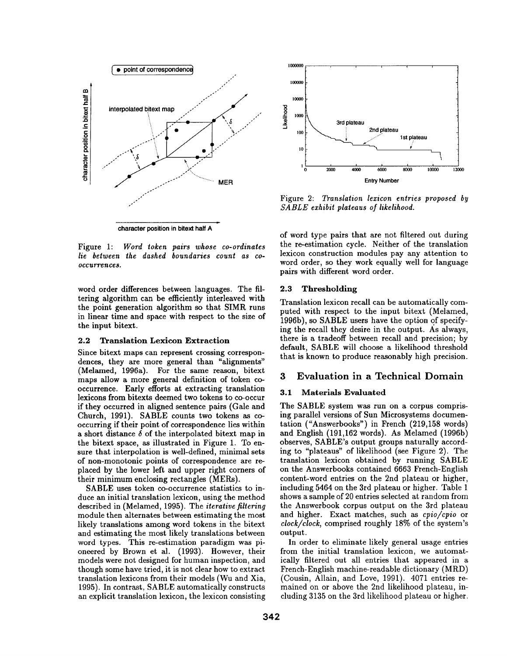

1oooooo 100000 lOOOO := ]000 **[ ~, 3rd plateau**   $\log \left( \frac{1}{2} \right)$  2nd plateau **loo** ~ ......... **1st plateau**   $10 \leftarrow$   $\leftarrow$   $\leftarrow$   $\leftarrow$   $\leftarrow$ **1| i i i i**  i 1oooo *12000*  0 2000 4000 6000 8000 Entry Number

Figure 2: *Translation lexicon entries proposed by SABLE exhibit plateaus of likelihood.* 

Figure 1: *Word token pairs whose co-ordinates lie between the dashed boundaries count as coocctlr'rence8.* 

word order differences between languages. The filtering algorithm can be efficiently interleaved with the point generation algorithm so that SIMR runs in linear time and space with respect to the size of the input bitext.

#### **2.2 Translation Lexicon Extraction**

Since bitext maps can represent crossing correspondences, they are more general than "alignments" (Melamed, 1996a). For the same reason, bitext maps allow a more general definition of token cooccurrence. Early efforts at extracting translation **lexicons** from bitexts deemed two tokens to co-occur if they occurred in aligned sentence pairs (Gale and Church, 1991). SABLE counts two tokens as cooccurring if their point of correspondence lies within a short distance  $\delta$  of the interpolated bitext map in the bitext space, as illustrated in Figure 1. To ensure that interpolation is well-defined, minimal sets of non-monotonic points of correspondence are replaced by the lower left and upper right corners of their minimum enclosing rectangles (MERs).

SABLE uses token co-occurrence statistics to induce an initial translation lexicon, using the method described in (Melamed, 1995). The *iterative filtering*  module then alternates between estimating the most likely translations among word tokens in the bitext and estimating the most likely translations between word types. This re-estimation paradigm was pioneered by Brown et al. (1993). However, their models were not designed for human inspection, and though some have tried, it is not clear how to extract translation lexicons from their models (Wu and Xia, 1995). In contrast, SABLE automatically constructs an explicit translation lexicon, the lexicon consisting

of word type pairs that are not filtered out during the re-estimation cycle. Neither of the translation lexicon construction modules pay any attention to word order, so they work equally well for language pairs with different word order.

#### **2.3 Thresholding**

Translation lexicon recall can be automatically computed with respect to the input bitext (Melamed, 1996b), so SABLE users have the option of specifying the recall they desire in the output. As always, there is a tradeoff between recall and precision; by default, SABLE will choose a likelihood threshold that is known to produce reasonably high precision.

## 3 Evaluation in a Technical Domain

#### **3.1 Materials Evaluated**

The SABLE system was run on a corpus comprising parallel versions of Sun Microsystems documentation ("Answerbooks") in French (219,158 words) and English (191,162 words). As Melamed (1996b) observes, SABLE's output groups naturally according to "plateaus" of likelihood (see Figure 2). The translation lexicon obtained by running SABLE on the Answerbooks contained 6663 French-English content-word entries on the 2nd plateau or higher, including 5464 on the 3rd plateau or higher. Table 1 shows a sample of 20 entries selected at random from the Answerbook corpus output on the 3rd plateau and higher. Exact matches, such as *cpio/cpio* or *clock/clock,* comprised roughly 18% of the system's output.

In order to eliminate likely general usage entries from the initial translation lexicon, we automatically filtered out all entries that appeared in a French-English machine-readable dictionary (MRD) (Cousin, Allain, and Love, 1991). 4071 entries remained on or above the 2nd likelihood plateau, including 3135 on the 3rd likelihood plateau or higher.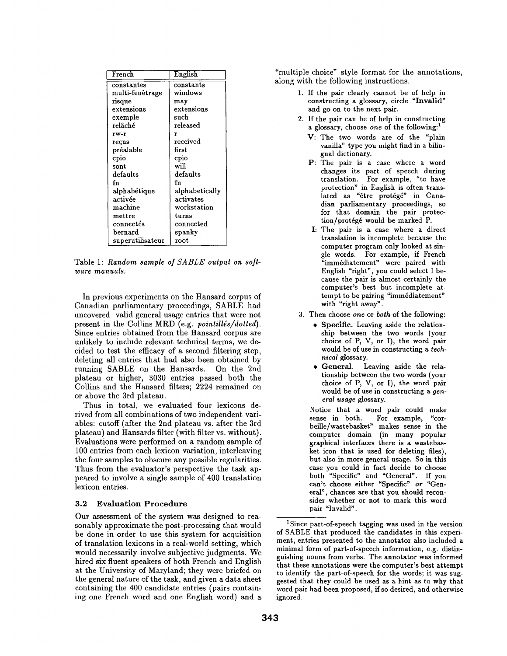| French                    | English        |
|---------------------------|----------------|
| constantes                | constants      |
| multi-fenêtrage           | windows        |
| risque                    | may            |
| extensions                | extensions     |
| exemple                   | such           |
| relâché                   | released       |
| rw-r                      | r              |
| reçus                     | received       |
| préalable                 | first.         |
| cpio                      | cpio           |
| sont                      | will           |
| $\operatorname{defaults}$ | defaults       |
| fn                        | fn             |
| alphabétique              | alphabetically |
| activée                   | activates      |
| machine                   | workstation    |
| mettre                    | turns          |
| connectés                 | connected      |
| bernard                   | spanky         |
| superutilisateur          | root           |

Table 1: *Random sample of SABLE output on software manuals.* 

In previous experiments on the Hansard corpus of Canadian parliamentary proceedings, SABLE had uncovered valid general usage entries that were not present in the Collins MRD (e.g. *pointillés/dotted*). Since entries obtained from the Hansard corpus are unlikely to include relevant technical terms, we decided to test the efficacy of a second filtering step, deleting all entries that had also been obtained by running SABLE on the Hansards. On the 2nd plateau or higher, 3030 entries passed both the Collins and the Hansard filters; 2224 remained on or above the 3rd plateau.

Thus in total, we evaluated four lexicons derived from all combinations of two independent variables: cutoff (after the 2nd plateau vs. after the 3rd plateau) and Hansards filter (with filter vs. without). Evaluations were performed on a random sample of 100 entries from each lexicon variation, interleaving the four samples to obscure any possible regularities. Thus from the evaluator's perspective the task appeared to involve a single sample of 400 translation lexicon entries.

#### **3.2 Evaluation** Procedure

Our assessment of the system was designed to reasonably approximate the post-processing that would be done in order to use this system for acquisition of translation lexicons in a real-world setting, which would necessarily involve subjective judgments. We hired six fluent speakers of both French and English at the University of Maryland; they were briefed on the general nature of the task, and given a data sheet containing the 400 candidate entries (pairs containing one French word and one English word) and a

"multiple choice" style format for the annotations, along with the following instructions.

- 1. If the pair clearly cannot be of help in constructing a glossary, circle "Invalid" and go on to the next pair.
- 2. If the pair can be of help in constructing a glossary, choose *one* of the following: 1
	- V: The two words are of the "plain vanilla" type you might find in a bilingual dictionary.
	- P: The pair is a case where a word changes its part of speech during translation. For example, "to have protection" in English is often translated as "être protégé" in Canadian parliamentary proceedings, so for that domain the pair protection/prot6g6 would be marked P.
	- I: The pair is a case where a direct translation is incomplete because the computer program only looked at single words. For example, if French 'immédiatement" were paired with English "right", you could select I because the pair is almost certainly the computer's best but incomplete attempt to be pairing "immédiatement" with "right away".
- 3. Then choose *one* or *both* of the following:
	- Specific. Leaving aside the relationship between the two words (your choice of P, V, or I), the word pair would be of use in constructing a *technical* glossary.
	- General. Leaving aside the relationship between the two words (your choice of P, V, or I), the word pair would be of use in constructing a *general usage* glossary.

Notice that a word pair could make sense in both. For example, "corbeille/wastebasket" makes sense in the computer domain (in many popular graphical interfaces there is a wastebasket icon that is used for deleting files), but also in more general usage. So in this case you could in fact decide to choose both "Specific" and "General". If you can't choose either "Specific" *or* "General', chances are that you should reconsider whether or not to mark this word pair "Invalid".

<sup>&</sup>lt;sup>1</sup> Since part-of-speech tagging was used in the version of SABLE that produced the candidates in this experiment, entries presented to the annotator also included a minimal form of part-of-speech information, e.g. distinguishing nouns from verbs. The annotator was informed that these annotations were the computer's best attempt to identify the part-of-speech for the words; it was suggested that they could be used as a hint as to why that word pair had been proposed, if so desired, and otherwise ignored.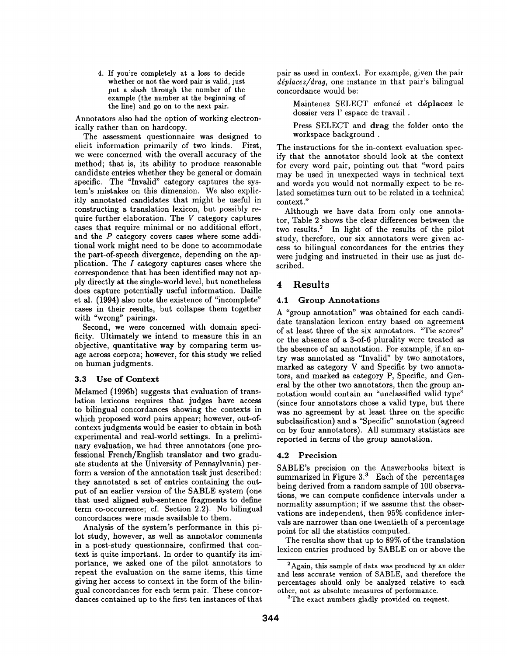4. If you're completely at a loss to decide whether or not the word pair is valid, just put a slash through the number of the example (the number at the beginning of the line) and go on to the next pair.

Annotators also had the option of working electronically rather than on hardcopy.

The assessment questionnaire was designed to elicit information primarily of two kinds. First, we were concerned with the overall accuracy of the method; that is, its ability to produce reasonable candidate entries whether they be general or domain specific. The "Invalid" category captures the system's mistakes on this dimension. We also explicitly annotated candidates that might be useful in constructing a translation lexicon, but possibly require further elaboration. The  $V$  category captures cases that require minimal or no additional effort, and the  $P$  category covers cases where some additional work might need to be done to accommodate the part-of-speech divergence, depending on the application. The  $I$  category captures cases where the correspondence that has been identified may not apply directly at the single-world level, but nonetheless does capture potentially useful information. Daille et al. (1994) also note the existence of "incomplete" cases in their results, but collapse them together with "wrong" pairings.

Second, we were concerned with domain specificity. Ultimately we intend to measure this in an objective, quantitative way by comparing term usage across corpora; however, for this study we relied on human judgments.

#### 3.3 Use of **Context**

Melamed (1996b) suggests that evaluation of translation lexicons requires that judges have access to bilingual concordances showing the contexts in which proposed word pairs appear; however, out-ofcontext judgments would be easier to obtain in both experimental and real-world settings. In a preliminary evaluation, we had three annotators (one professional French/English translator and two graduate students at the University of Pennsylvania) perform a version of the annotation task just described: they annotated a set of entries containing the output of an earlier version of the SABLE system (one that used aligned sub-sentence fragments to define term co-occurrence; cf. Section 2.2). No bilingual concordances were made available to them.

Analysis of the system's performance in this pilot study, however, as well as annotator comments in a post-study questionnaire, confirmed that context is quite important. In order to quantify its im: portance, we asked one of the pilot annotators to repeat the evaluation on the same items, this time giving her access to context in the form of the bilingual concordances for each term pair. These concordances contained up to the first ten instances of that pair as used in context. For example, given the pair *déplacez/drag,* one instance in that pair's bilingual concordance would be:

Maintenez SELECT enfoncé et déplacez le dossier vers l' espace de travail .

Press SELECT and drag the folder onto the workspace background .

The instructions for the in-context evaluation specify that the annotator should look at the context for every word pair, pointing out that "word pairs may be used in unexpected ways in technical text and words you would not normally expect to be related sometimes turn out to be related in a technical context."

Although we have data from only one annotator, Table 2 shows the clear differences between the two results.<sup>2</sup> In light of the results of the pilot study, therefore, our six annotators were given access to bilingual concordances for the entries they were judging and instructed in their use as just described.

# **4 Results**

# **4.1 Group Annotations**

A "group annotation" was obtained for each candidate translation lexicon entry based on agreement of at least three of the six annotators. "Tie scores" or the absence of a 3-of-6 plurality were treated as the absence of an annotation. For example, if an entry was annotated as "Invalid" by two annotators, marked as category V and Specific by two annotators, and marked as category P, Specific, and General by the other two annotators, then the group annotation would contain an "unclassified valid type" (since four annotators chose a valid type, but there was no agreement by at least three on the specific subclasification) and a "Specific" annotation (agreed on by four annotators). All summary statistics are reported in terms of the group annotation.

# 4.2 Precision

SABLE's precision on the Answerbooks bitext is summarized in Figure  $3<sup>3</sup>$  Each of the percentages being derived from a random sample of 100 observations, we can compute confidence intervals under a normality assumption; if we assume that the observations are independent, then 95% confidence intervals are narrower than one twentieth of a percentage point for all the statistics computed.

The results show that up to 89% of the translation lexicon entries produced by SABLE on or above the

 $2$ Again, this sample of data was produced by an older and less accurate version of SABLE, and therefore the percentages should only be analyzed relative to each other, not as absolute measures of performance.

<sup>&</sup>lt;sup>3</sup>The exact numbers gladly provided on request.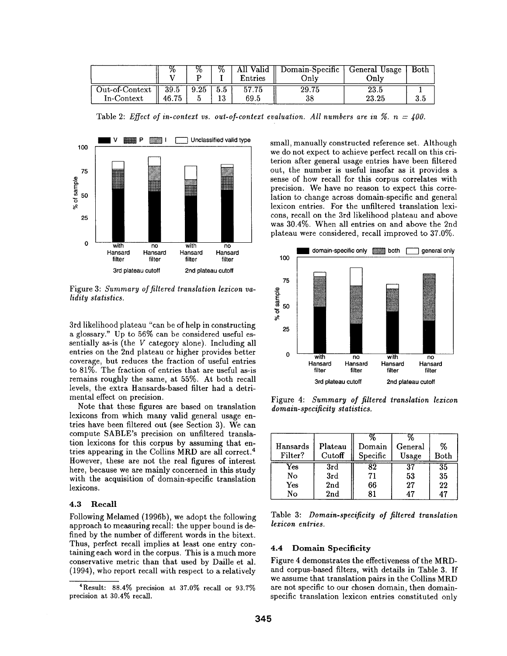|                              |               | %    | %          | All Valid<br>Entries | Domain-Specific<br>Onlv | General Usage<br>Onlv | Both |
|------------------------------|---------------|------|------------|----------------------|-------------------------|-----------------------|------|
| Out-of-Context<br>In-Context | 39.5<br>46.75 | 9.25 | -5.5<br>10 | 57.75<br>69.5        | 29.75<br>38             | $23.5\,$<br>23.25     | 3.5  |

Table 2: *Effect of in-context vs. out-of-context evaluation. All numbers are in*  $\%$ *. n = 400.* 



Figure 3: *Summary of filtered translation lexicon validily statistics.* 

3rd likelihood plateau "can be of help in constructing a glossary." Up to 56% can be considered useful essentially as-is (the V category alone). Including all entries on the 2nd plateau or higher provides better coverage, but reduces the fraction of useful entries to 81%. The fraction of entries that are useful as-is remains roughly the same, at 55%. At both recall levels, the extra Hansards-based filter had a detrimental effect on precision.

Note that these figures are based on translation lexicons from which many valid general usage entries have been filtered out (see Section 3). We can compute SABLE's precision on unfiltered translation lexicons for this corpus by assuming that entries appearing in the Collins MRD are all correct. 4 However, these are not the real figures of interest here, because we are mainly concerned in this study with the acquisition of domain-specific translation lexicons.

#### **4.3** Recall

Following Melamed (1996b), we adopt the following approach to measuring recall: the upper bound is defined by the number of different words in the bitext. Thus, perfect recall implies at least one entry containing each word in the corpus. This is a much more conservative metric than that used by Daille et al. (1994), who report recall with respect to a relatively

small, manually constructed reference set. Although we do not expect to achieve perfect recall on this criterion after general usage entries have been filtered out, the number is useful insofar as it provides a sense of how recall for this corpus correlates with precision. We have no reason to expect this correlation to change across domain-specific and general lexicon entries. For the unfiltered translation lexicons, recall on the 3rd likelihood plateau and above was 30.4%. When all entries on and above the 2nd plateau were considered, recall improved to 37.0%.



Figure 4: *Summary of filtered translation lexicon domain-specificity statistics.* 

| Hansards<br>Filter? | Plateau<br>Cutoff | Domain<br>Specific | General<br>Usage | %<br>Both |
|---------------------|-------------------|--------------------|------------------|-----------|
| Yes                 | 3rd               | 82                 | 37               | 35        |
| No                  | 3rd               | 71                 | 53               | 35        |
| Yes                 | 2nd               | 66                 | 27               | 22        |
| No                  | 2 <sub>nd</sub>   | 81                 |                  | 47        |

Table 3: *Domain-specificity of filtered translation lexicon entries.* 

#### **4.4 Domain Specificity**

Figure 4 demonstrates the effectiveness of the MRDand corpus-based filters, with details in Table 3. If we assume that translation pairs in the Collins MRD are not specific to our chosen domain, then domainspecific translation lexicon entries constituted only

<sup>4</sup>Result: 88.4% precision at 37.0% recall or 93.7% precision at 30.4% recall.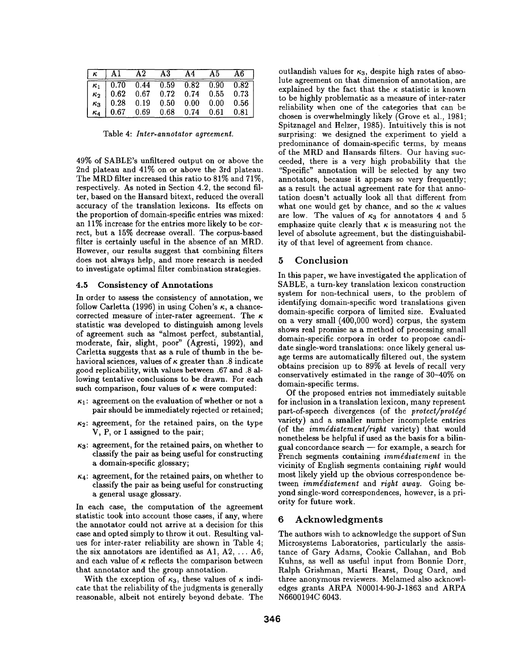| $\kappa$   A1                              | $\bf A2$ | $\mathbf{A3}$ | A4 | A5          | A6.  |
|--------------------------------------------|----------|---------------|----|-------------|------|
| $\kappa_1$ 0.70 0.44 0.59 0.82 0.90 0.82   |          |               |    |             |      |
| $\kappa_2$   0.62 0.67 0.72 0.74 0.55 0.73 |          |               |    |             |      |
| $\kappa_3$ 0.28 0.19 0.50 0.00 0.00 0.56   |          |               |    |             |      |
| $\kappa_4$   0.67 0.69 0.68                |          |               |    | $0.74$ 0.61 | 0.81 |

Table 4: *Infer-annotator agreement.* 

49% of SABLE's unfiltered output on or above the 2nd plateau and 41% on or above the 3rd plateau. The MRD filter increased this ratio to 81% and 71%, respectively. As noted in Section 4.2, the second filter, based on the Hansard bitext, reduced the overall accuracy of the translation lexicons. Its effects on the proportion of domain-specific entries was mixed: an 11% increase for the entries more likely to be correct, but a 15% decrease overall. The corpus-based filter is certainly useful in the absence of an MRD. However, our results suggest that combining filters does not always help, and more research is needed **to** investigate optimal filter combination strategies.

#### **4.5 Consistency of Annotations**

In order to assess the consistency of annotation, we follow Carletta (1996) in using Cohen's  $\kappa$ , a chancecorrected measure of inter-rater agreement. The  $\kappa$ statistic was developed to distinguish among levels of agreement such as "almost perfect, substantial, moderate, fair, slight, poor" (Agresti, 1992), and Carletta suggests that as a rule of thumb in the behavioral sciences, values of  $\kappa$  greater than .8 indicate good replicability, with values between .67 and .8 allowing tentative conclusions to be drawn. For each such comparison, four values of  $\kappa$  were computed:

- $\kappa_1$ : agreement on the evaluation of whether or not a pair should be immediately rejected or retained;
- $\kappa_2$ : agreement, for the retained pairs, on the type V, P, or I assigned to the pair;
- $\kappa_3$ : agreement, for the retained pairs, on whether to classify the pair as being useful for constructing a domain-specific glossary;
- $\kappa_4$ : agreement, for the retained pairs, on whether to classify the pair as being useful for constructing a general usage glossary.

In each case, the computation of the agreement statistic took into account those cases, if any, where the annotator could not arrive at a decision for this case and opted simply to throw it out. Resulting values for inter-rater reliability are shown in Table 4; the six annotators are identified as A1, A2,  $\dots$  A6; and each value of  $\kappa$  reflects the comparison between that annotator and the group annotation.

With the exception of  $\kappa_3$ , these values of  $\kappa$  indicate that the reliability of the judgments is generally reasonable, albeit not entirely beyond debate. The

outlandish values for  $\kappa_3$ , despite high rates of absolute agreement on that dimension of annotation, are explained by the fact that the  $\kappa$  statistic is known to be highly problematic as a measure of inter-rater reliability when one of the categories that can be chosen is overwhelmingly likely (Grove et al., 1981; Spitznagel and Helzer, 1985). Intuitively this is not surprising: we designed the experiment to yield a predominance of domain-specific terms, by means of the MRD and Hansards filters. Our having succeeded, there is a very high probability that the "Specific" annotation will be selected by any two annotators, because it appears so very frequently; as a result the actual agreement rate for that annotation doesn't actually look all that different from what one would get by chance, and so the  $\kappa$  values are low. The values of  $\kappa_3$  for annotators 4 and 5 emphasize quite clearly that  $\kappa$  is measuring not the level of absolute agreement, hut the distinguishability of that level of agreement from chance.

## **5 Conclusion**

In this paper, we have investigated the application of SABLE, a turn-key translation lexicon construction system for non-technical users, to the problem of identifying domain-specific word translations given domain-specific corpora of limited size. Evaluated on a very small (400,000 word) corpus, the system shows real promise as a method of processing small domain-specific corpora in order to propose candidate single-word translations: once likely general usage terms are automatically filtered out, the system obtains precision up to 89% at levels of recall very conservatively estimated in the range of 30-40% on domain-specific terms.

Of the proposed entries not immediately suitable for inclusion in a translation lexicon, many represent part-of-speech divergences (of the *protect/protégé* variety) and a smaller number incomplete entries (of the *immddiatement/right* variety) that would nonetheless be helpful if used as the basis for a bilingual concordance  $\operatorname{search}$  -- for example, a search for French segments containing *immddiatemeut* in the vicinity of English segments containing *right* would most likely yield up the obvious correspondence between *immédiatement* and *right away*. Going beyond single-word correspondences, however, is a priority for future work.

#### **6** Acknowledgments

The authors wish to acknowledge the support of Sun Microsystems Laboratories, particularly the assistance of Gary Adams, Cookie Callahan, and Bob Kuhns, as well as useful input from Bonnie Dorr, Ralph Grishman, Marti Hearst, Doug Oard, and three anonymous reviewers. Melamed also acknowledges grants ARPA N00014-90-J-1863 and ARPA N6600194C 6043.